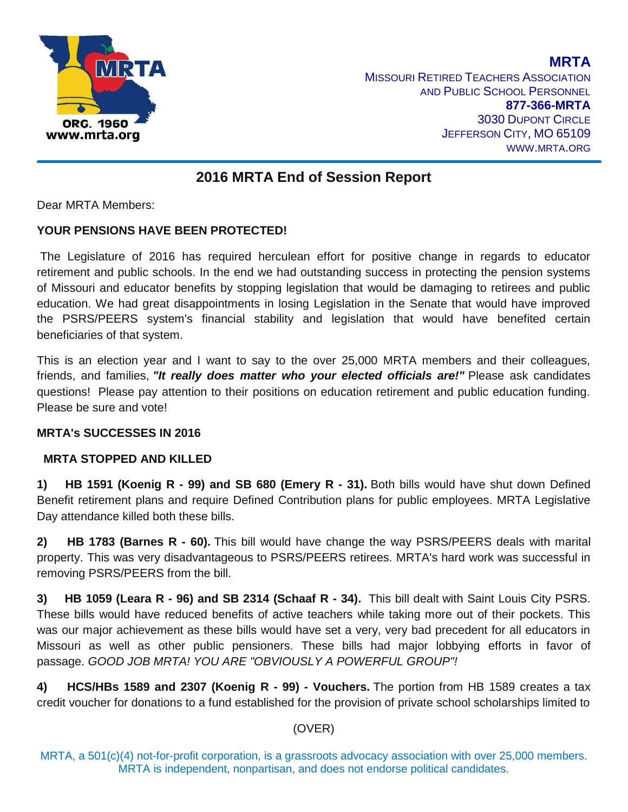

**MRTA MISSOURI RETIRED TEACHERS ASSOCIATION** AND PUBLIC SCHOOL PERSONNEL **877-366-MRTA** 3030 DUPONT CIRCLE JEFFERSON CITY, MO 65109 WWW.MRTA.ORG

# **2016 MRTA End of Session Report**

Dear MRTA Members:

#### **YOUR PENSIONS HAVE BEEN PROTECTED!**

The Legislature of 2016 has required herculean effort for positive change in regards to educator retirement and public schools. In the end we had outstanding success in protecting the pension systems of Missouri and educator benefits by stopping legislation that would be damaging to retirees and public education. We had great disappointments in losing Legislation in the Senate that would have improved the PSRS/PEERS system's financial stability and legislation that would have benefited certain beneficiaries of that system.

This is an election year and I want to say to the over 25,000 MRTA members and their colleagues, friends, and families, *"It really does matter who your elected officials are!"* Please ask candidates questions! Please pay attention to their positions on education retirement and public education funding. Please be sure and vote!

### **MRTA's SUCCESSES IN 2016**

#### **MRTA STOPPED AND KILLED**

**1) HB 1591 (Koenig R - 99) and SB 680 (Emery R - 31).** Both bills would have shut down Defined Benefit retirement plans and require Defined Contribution plans for public employees. MRTA Legislative Day attendance killed both these bills.

**2) HB 1783 (Barnes R - 60).** This bill would have change the way PSRS/PEERS deals with marital property. This was very disadvantageous to PSRS/PEERS retirees. MRTA's hard work was successful in removing PSRS/PEERS from the bill.

**3) HB 1059 (Leara R - 96) and SB 2314 (Schaaf R - 34).** This bill dealt with Saint Louis City PSRS. These bills would have reduced benefits of active teachers while taking more out of their pockets. This was our major achievement as these bills would have set a very, very bad precedent for all educators in Missouri as well as other public pensioners. These bills had major lobbying efforts in favor of passage. *GOOD JOB MRTA! YOU ARE "OBVIOUSLY A POWERFUL GROUP"!*

**4) HCS/HBs 1589 and 2307 (Koenig R - 99) - Vouchers.** The portion from HB 1589 creates a tax credit voucher for donations to a fund established for the provision of private school scholarships limited to

### (OVER)

MRTA, a 501(c)(4) not-for-profit corporation, is a grassroots advocacy association with over 25,000 members. MRTA is independent, nonpartisan, and does not endorse political candidates.